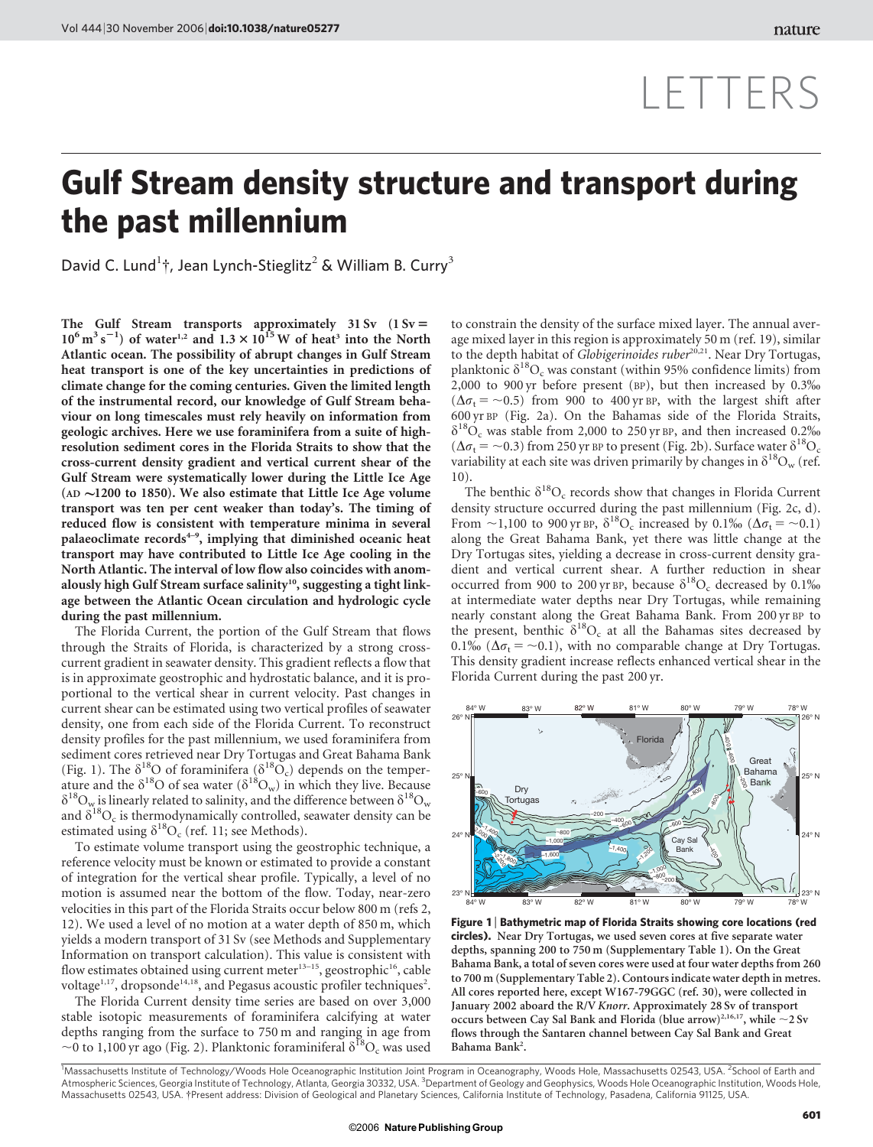## LETTERS

## Gulf Stream density structure and transport during the past millennium

David C. Lund<sup>1</sup>†, Jean Lynch-Stieglitz<sup>2</sup> & William B. Curry<sup>3</sup>

The Gulf Stream transports approximately  $31 Sv$  ( $1 Sv =$  $10^6 \text{ m}^3 \text{ s}^{-1}$ ) of water<sup>1,2</sup> and  $1.3 \times 10^{15} \text{ W}$  of heat<sup>3</sup> into the North Atlantic ocean. The possibility of abrupt changes in Gulf Stream heat transport is one of the key uncertainties in predictions of climate change for the coming centuries. Given the limited length of the instrumental record, our knowledge of Gulf Stream behaviour on long timescales must rely heavily on information from geologic archives. Here we use foraminifera from a suite of highresolution sediment cores in the Florida Straits to show that the cross-current density gradient and vertical current shear of the Gulf Stream were systematically lower during the Little Ice Age (AD  $\sim$ 1200 to 1850). We also estimate that Little Ice Age volume transport was ten per cent weaker than today's. The timing of reduced flow is consistent with temperature minima in several palaeoclimate  $records<sup>4-9</sup>$ , implying that diminished oceanic heat transport may have contributed to Little Ice Age cooling in the North Atlantic. The interval of low flow also coincides with anomalously high Gulf Stream surface salinity<sup>10</sup>, suggesting a tight linkage between the Atlantic Ocean circulation and hydrologic cycle during the past millennium.

The Florida Current, the portion of the Gulf Stream that flows through the Straits of Florida, is characterized by a strong crosscurrent gradient in seawater density. This gradient reflects a flow that is in approximate geostrophic and hydrostatic balance, and it is proportional to the vertical shear in current velocity. Past changes in current shear can be estimated using two vertical profiles of seawater density, one from each side of the Florida Current. To reconstruct density profiles for the past millennium, we used foraminifera from sediment cores retrieved near Dry Tortugas and Great Bahama Bank (Fig. 1). The  $\delta^{18}$ O of foraminifera ( $\delta^{18}$ O<sub>c</sub>) depends on the temperature and the  $\delta^{18}O$  of sea water  $(\delta^{18}O_w)$  in which they live. Because  $\delta^{18}O_w$  is linearly related to salinity, and the difference between  $\delta^{18}O_w$ and  $\delta^{18}O_c$  is thermodynamically controlled, seawater density can be estimated using  $\delta^{18}O_c$  (ref. 11; see Methods).

To estimate volume transport using the geostrophic technique, a reference velocity must be known or estimated to provide a constant of integration for the vertical shear profile. Typically, a level of no motion is assumed near the bottom of the flow. Today, near-zero velocities in this part of the Florida Straits occur below 800 m (refs 2, 12). We used a level of no motion at a water depth of 850 m, which yields a modern transport of 31 Sv (see Methods and Supplementary Information on transport calculation). This value is consistent with flow estimates obtained using current meter<sup>13-15</sup>, geostrophic<sup>16</sup>, cable voltage<sup>1,17</sup>, dropsonde<sup>14,18</sup>, and Pegasus acoustic profiler techniques<sup>2</sup>.

The Florida Current density time series are based on over 3,000 stable isotopic measurements of foraminifera calcifying at water depths ranging from the surface to 750 m and ranging in age from  $\sim$ 0 to 1,100 yr ago (Fig. 2). Planktonic foraminiferal  $\delta^{18}O_c$  was used

to constrain the density of the surface mixed layer. The annual average mixed layer in this region is approximately 50 m (ref. 19), similar to the depth habitat of Globigerinoides ruber<sup>20,21</sup>. Near Dry Tortugas, planktonic  $\delta^{18}O_c$  was constant (within 95% confidence limits) from 2,000 to 900 yr before present (BP), but then increased by 0.3%  $(\Delta \sigma_t = -0.5)$  from 900 to 400 yr BP, with the largest shift after 600 yr BP (Fig. 2a). On the Bahamas side of the Florida Straits,  $\delta^{18}O_c$  was stable from 2,000 to 250 yr BP, and then increased 0.2\%  $(\Delta \sigma_t = \sim 0.3)$  from 250 yr BP to present (Fig. 2b). Surface water  $\delta^{18}O_c$ variability at each site was driven primarily by changes in  $\delta^{18}O_w$  (ref. 10).

The benthic  $\delta^{18}O_c$  records show that changes in Florida Current density structure occurred during the past millennium (Fig. 2c, d). From  $\sim$ 1,100 to 900 yr BP,  $\delta^{18}O_c$  increased by 0.1‰ ( $\Delta \sigma_t$  =  $\sim$ 0.1) along the Great Bahama Bank, yet there was little change at the Dry Tortugas sites, yielding a decrease in cross-current density gradient and vertical current shear. A further reduction in shear occurred from 900 to 200 yr BP, because  $\delta^{18}O_c$  decreased by 0.1% at intermediate water depths near Dry Tortugas, while remaining nearly constant along the Great Bahama Bank. From 200 yr BP to the present, benthic  $\delta^{18}O_c$  at all the Bahamas sites decreased by 0.1% ( $\Delta \sigma_t =$  ~0.1), with no comparable change at Dry Tortugas. This density gradient increase reflects enhanced vertical shear in the Florida Current during the past 200 yr.



Figure 1 <sup>|</sup> Bathymetric map of Florida Straits showing core locations (red circles). Near Dry Tortugas, we used seven cores at five separate water depths, spanning 200 to 750 m (Supplementary Table 1). On the Great Bahama Bank, a total of seven cores were used at four water depths from 260 to 700 m (Supplementary Table 2). Contours indicate water depth in metres. All cores reported here, except W167-79GGC (ref. 30), were collected in January 2002 aboard the R/V Knorr. Approximately 28 Sv of transport occurs between Cay Sal Bank and Florida (blue arrow)<sup>2,16,17</sup>, while  $\sim$  2 Sv flows through the Santaren channel between Cay Sal Bank and Great Bahama Bank<sup>2</sup>.

<sup>1</sup>Massachusetts Institute of Technology/Woods Hole Oceanographic Institution Joint Program in Oceanography, Woods Hole, Massachusetts 02543, USA. <sup>2</sup>School of Earth and<br>Atmospheric Sciences, Georgia Institute of Technolog Massachusetts 02543, USA. {Present address: Division of Geological and Planetary Sciences, California Institute of Technology, Pasadena, California 91125, USA.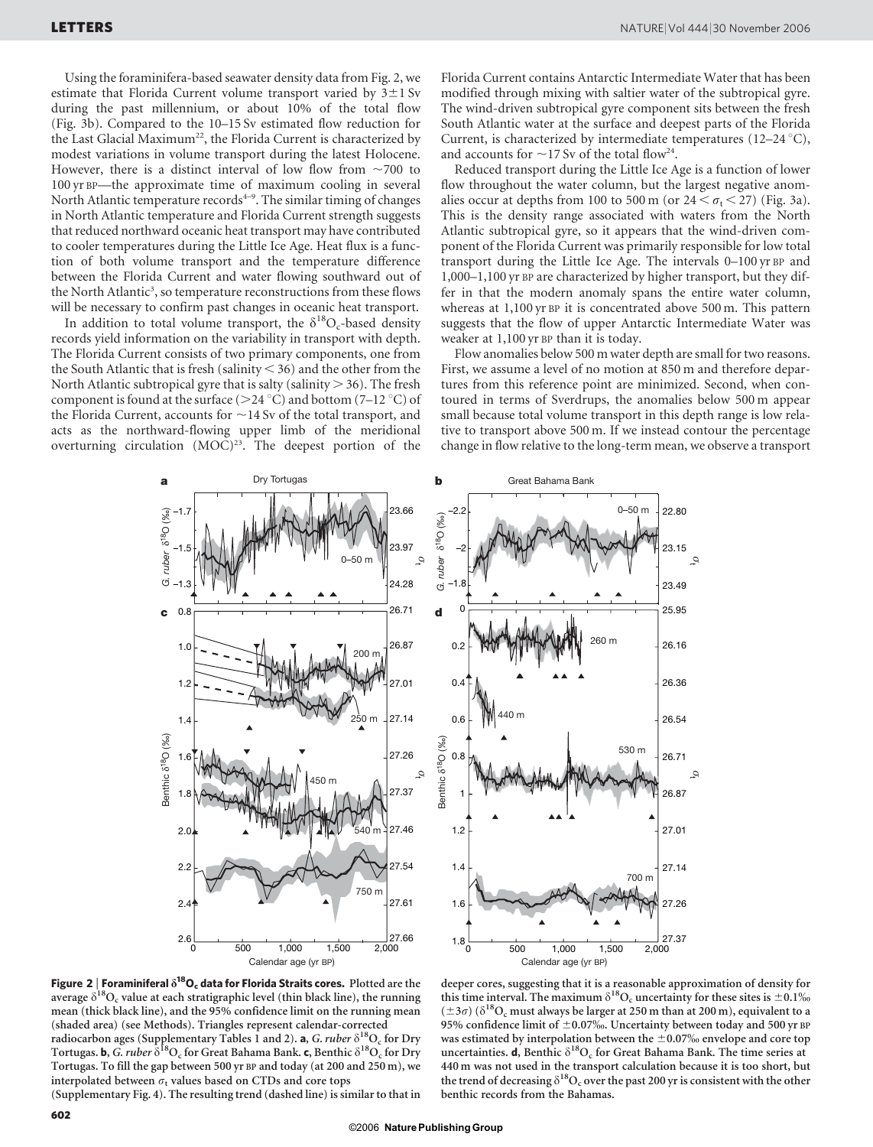Using the foraminifera-based seawater density data from Fig. 2, we estimate that Florida Current volume transport varied by  $3\pm1$  Sv during the past millennium, or about 10% of the total flow (Fig. 3b). Compared to the 10–15 Sv estimated flow reduction for the Last Glacial Maximum<sup>22</sup>, the Florida Current is characterized by modest variations in volume transport during the latest Holocene. However, there is a distinct interval of low flow from  $\sim$ 700 to 100 yr BP—the approximate time of maximum cooling in several North Atlantic temperature records<sup>4-9</sup>. The similar timing of changes in North Atlantic temperature and Florida Current strength suggests that reduced northward oceanic heat transport may have contributed to cooler temperatures during the Little Ice Age. Heat flux is a function of both volume transport and the temperature difference between the Florida Current and water flowing southward out of the North Atlantic<sup>3</sup>, so temperature reconstructions from these flows will be necessary to confirm past changes in oceanic heat transport.

In addition to total volume transport, the  $\delta^{18}O_c$ -based density records yield information on the variability in transport with depth. The Florida Current consists of two primary components, one from the South Atlantic that is fresh (salinity  $<$  36) and the other from the North Atlantic subtropical gyre that is salty (salinity  $> 36$ ). The fresh component is found at the surface ( $>$ 24 °C) and bottom (7–12 °C) of the Florida Current, accounts for  $\sim$ 14 Sv of the total transport, and acts as the northward-flowing upper limb of the meridional overturning circulation  $(MOC)^{23}$ . The deepest portion of the Florida Current contains Antarctic Intermediate Water that has been modified through mixing with saltier water of the subtropical gyre. The wind-driven subtropical gyre component sits between the fresh South Atlantic water at the surface and deepest parts of the Florida Current, is characterized by intermediate temperatures (12–24  $^{\circ}$ C), and accounts for  $\sim$ 17 Sv of the total flow<sup>24</sup>.

Reduced transport during the Little Ice Age is a function of lower flow throughout the water column, but the largest negative anomalies occur at depths from 100 to 500 m (or  $24 < \sigma_t < 27$ ) (Fig. 3a). This is the density range associated with waters from the North Atlantic subtropical gyre, so it appears that the wind-driven component of the Florida Current was primarily responsible for low total transport during the Little Ice Age. The intervals 0–100 yr BP and 1,000–1,100 yr BP are characterized by higher transport, but they differ in that the modern anomaly spans the entire water column, whereas at 1,100 yr BP it is concentrated above 500 m. This pattern suggests that the flow of upper Antarctic Intermediate Water was weaker at 1,100 yr BP than it is today.

Flow anomalies below 500 m water depth are small for two reasons. First, we assume a level of no motion at 850 m and therefore departures from this reference point are minimized. Second, when contoured in terms of Sverdrups, the anomalies below 500 m appear small because total volume transport in this depth range is low relative to transport above 500 m. If we instead contour the percentage change in flow relative to the long-term mean, we observe a transport





Figure 2 | Foraminiferal  $\delta^{18}O_c$  data for Florida Straits cores. Plotted are the average  $\delta^{18}O_c$  value at each stratigraphic level (thin black line), the running mean (thick black line), and the 95% confidence limit on the running mean (shaded area) (see Methods). Triangles represent calendar-corrected radiocarbon ages (Supplementary Tables 1 and 2). **a**, *G. ruber*  $\delta^{18}O_c$  for Dry Tortugas. b, G. ruber  $\delta^{18}O_c$  for Great Bahama Bank. c, Benthic  $\delta^{18}O_c$  for Dry Tortugas. To fill the gap between 500 yr BP and today (at 200 and 250 m), we interpolated between  $\sigma_t$  values based on CTDs and core tops

(Supplementary Fig. 4). The resulting trend (dashed line) is similar to that in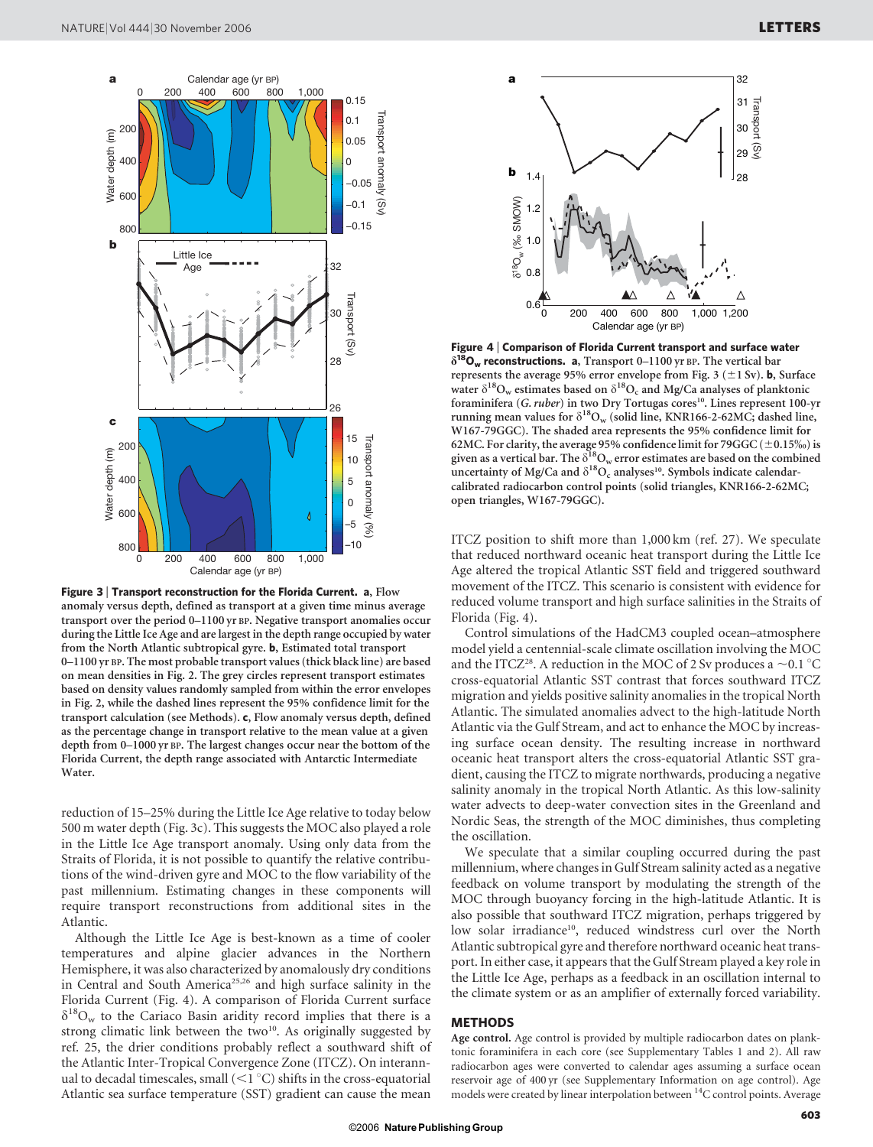

Figure 3 | Transport reconstruction for the Florida Current. a, Flow anomaly versus depth, defined as transport at a given time minus average transport over the period 0–1100 yr BP. Negative transport anomalies occur during the Little Ice Age and are largest in the depth range occupied by water from the North Atlantic subtropical gyre. b, Estimated total transport 0–1100 yr BP. The most probable transport values (thick black line) are based on mean densities in Fig. 2. The grey circles represent transport estimates based on density values randomly sampled from within the error envelopes in Fig. 2, while the dashed lines represent the 95% confidence limit for the transport calculation (see Methods). c, Flow anomaly versus depth, defined as the percentage change in transport relative to the mean value at a given depth from 0–1000 yr BP. The largest changes occur near the bottom of the Florida Current, the depth range associated with Antarctic Intermediate Water.

reduction of 15–25% during the Little Ice Age relative to today below 500 m water depth (Fig. 3c). This suggests the MOC also played a role in the Little Ice Age transport anomaly. Using only data from the Straits of Florida, it is not possible to quantify the relative contributions of the wind-driven gyre and MOC to the flow variability of the past millennium. Estimating changes in these components will require transport reconstructions from additional sites in the Atlantic.

Although the Little Ice Age is best-known as a time of cooler temperatures and alpine glacier advances in the Northern Hemisphere, it was also characterized by anomalously dry conditions in Central and South America<sup>25,26</sup> and high surface salinity in the Florida Current (Fig. 4). A comparison of Florida Current surface  $\delta^{18}O_w$  to the Cariaco Basin aridity record implies that there is a strong climatic link between the two $10$ . As originally suggested by ref. 25, the drier conditions probably reflect a southward shift of the Atlantic Inter-Tropical Convergence Zone (ITCZ). On interannual to decadal timescales, small  $(\leq 1 \degree C)$  shifts in the cross-equatorial Atlantic sea surface temperature (SST) gradient can cause the mean



Figure 4 <sup>|</sup> Comparison of Florida Current transport and surface water  $\delta^{18}O_w$  reconstructions. a, Transport 0-1100 yr BP. The vertical bar represents the average 95% error envelope from Fig. 3 ( $\pm$ 1 Sv). **b**, Surface water  $\delta^{18}O_w$  estimates based on  $\delta^{18}O_c$  and Mg/Ca analyses of planktonic foraminifera (G. ruber) in two Dry Tortugas cores<sup>10</sup>. Lines represent 100-yr running mean values for  $\delta^{18}O_w$  (solid line, KNR166-2-62MC; dashed line, W167-79GGC). The shaded area represents the 95% confidence limit for 62MC. For clarity, the average 95% confidence limit for 79GGC (±0.15‰) is given as a vertical bar. The  $\delta_{\text{QOw}}^{18}$  error estimates are based on the combined uncertainty of Mg/Ca and  $\delta^{18}O_c$  analyses<sup>10</sup>. Symbols indicate calendarcalibrated radiocarbon control points (solid triangles, KNR166-2-62MC; open triangles, W167-79GGC).

ITCZ position to shift more than 1,000 km (ref. 27). We speculate that reduced northward oceanic heat transport during the Little Ice Age altered the tropical Atlantic SST field and triggered southward movement of the ITCZ. This scenario is consistent with evidence for reduced volume transport and high surface salinities in the Straits of Florida (Fig. 4).

Control simulations of the HadCM3 coupled ocean–atmosphere model yield a centennial-scale climate oscillation involving the MOC and the ITCZ<sup>28</sup>. A reduction in the MOC of 2 Sv produces a  $\sim$ 0.1 °C cross-equatorial Atlantic SST contrast that forces southward ITCZ migration and yields positive salinity anomalies in the tropical North Atlantic. The simulated anomalies advect to the high-latitude North Atlantic via the Gulf Stream, and act to enhance the MOC by increasing surface ocean density. The resulting increase in northward oceanic heat transport alters the cross-equatorial Atlantic SST gradient, causing the ITCZ to migrate northwards, producing a negative salinity anomaly in the tropical North Atlantic. As this low-salinity water advects to deep-water convection sites in the Greenland and Nordic Seas, the strength of the MOC diminishes, thus completing the oscillation.

We speculate that a similar coupling occurred during the past millennium, where changes in Gulf Stream salinity acted as a negative feedback on volume transport by modulating the strength of the MOC through buoyancy forcing in the high-latitude Atlantic. It is also possible that southward ITCZ migration, perhaps triggered by low solar irradiance<sup>10</sup>, reduced windstress curl over the North Atlantic subtropical gyre and therefore northward oceanic heat transport. In either case, it appears that the Gulf Stream played a key role in the Little Ice Age, perhaps as a feedback in an oscillation internal to the climate system or as an amplifier of externally forced variability.

## **METHODS**

Age control. Age control is provided by multiple radiocarbon dates on planktonic foraminifera in each core (see Supplementary Tables 1 and 2). All raw radiocarbon ages were converted to calendar ages assuming a surface ocean reservoir age of 400 yr (see Supplementary Information on age control). Age models were created by linear interpolation between <sup>14</sup>C control points. Average